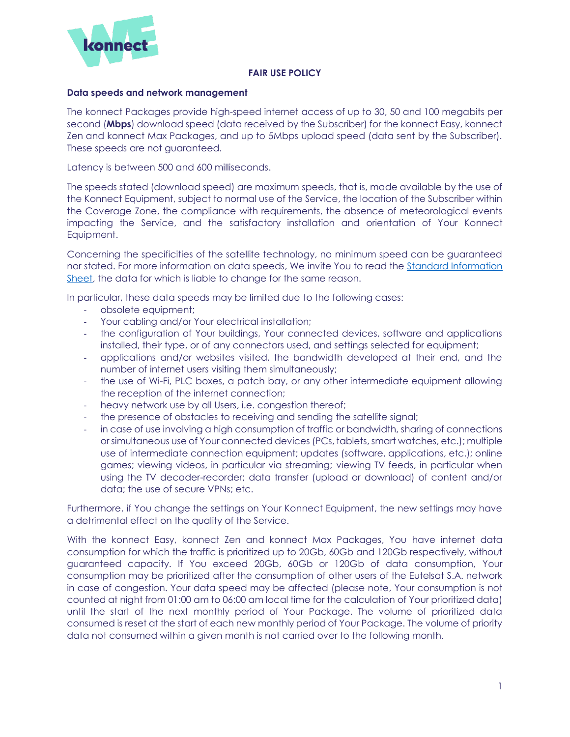

## **FAIR USE POLICY**

## **Data speeds and network management**

The konnect Packages provide high-speed internet access of up to 30, 50 and 100 megabits per second (**Mbps**) download speed (data received by the Subscriber) for the konnect Easy, konnect Zen and konnect Max Packages, and up to 5Mbps upload speed (data sent by the Subscriber). These speeds are not guaranteed.

Latency is between 500 and 600 milliseconds.

The speeds stated (download speed) are maximum speeds, that is, made available by the use of the Konnect Equipment, subject to normal use of the Service, the location of the Subscriber within the Coverage Zone, the compliance with requirements, the absence of meteorological events impacting the Service, and the satisfactory installation and orientation of Your Konnect Equipment.

Concerning the specificities of the satellite technology, no minimum speed can be guaranteed nor stated. For more information on data speeds, We invite You to read the [Standard Information](https://europe.konnect.com/sites/europe/files/2021-05/information_sheet_ir21.pdf)  [Sheet,](https://europe.konnect.com/sites/europe/files/2021-05/information_sheet_ir21.pdf) the data for which is liable to change for the same reason.

In particular, these data speeds may be limited due to the following cases:

- obsolete equipment;
- Your cabling and/or Your electrical installation;
- the configuration of Your buildings, Your connected devices, software and applications installed, their type, or of any connectors used, and settings selected for equipment;
- applications and/or websites visited, the bandwidth developed at their end, and the number of internet users visiting them simultaneously;
- the use of Wi-Fi, PLC boxes, a patch bay, or any other intermediate equipment allowing the reception of the internet connection;
- heavy network use by all Users, i.e. congestion thereof;
- the presence of obstacles to receiving and sending the satellite signal;
- in case of use involving a high consumption of traffic or bandwidth, sharing of connections or simultaneous use of Your connected devices (PCs, tablets, smart watches, etc.); multiple use of intermediate connection equipment; updates (software, applications, etc.); online games; viewing videos, in particular via streaming; viewing TV feeds, in particular when using the TV decoder-recorder; data transfer (upload or download) of content and/or data; the use of secure VPNs; etc.

Furthermore, if You change the settings on Your Konnect Equipment, the new settings may have a detrimental effect on the quality of the Service.

With the konnect Easy, konnect Zen and konnect Max Packages, You have internet data consumption for which the traffic is prioritized up to 20Gb, 60Gb and 120Gb respectively, without guaranteed capacity. If You exceed 20Gb, 60Gb or 120Gb of data consumption, Your consumption may be prioritized after the consumption of other users of the Eutelsat S.A. network in case of congestion. Your data speed may be affected (please note, Your consumption is not counted at night from 01:00 am to 06:00 am local time for the calculation of Your prioritized data) until the start of the next monthly period of Your Package. The volume of prioritized data consumed is reset at the start of each new monthly period of Your Package. The volume of priority data not consumed within a given month is not carried over to the following month.